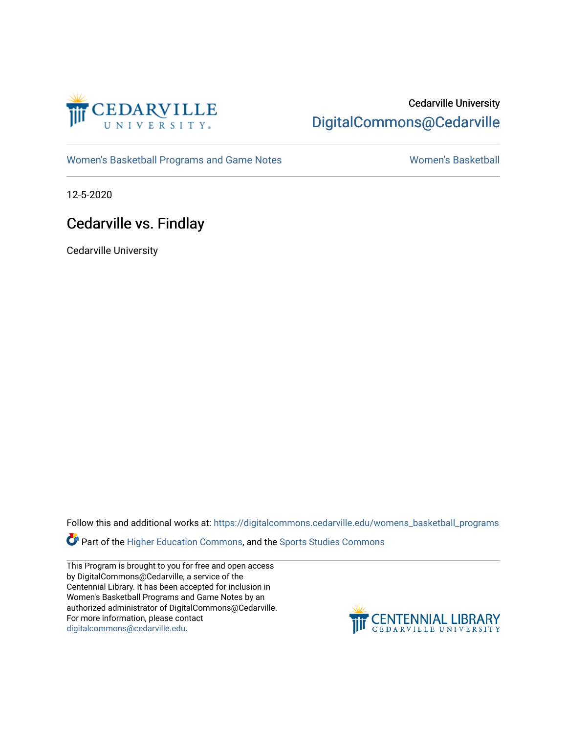

### Cedarville University [DigitalCommons@Cedarville](https://digitalcommons.cedarville.edu/)

[Women's Basketball Programs and Game Notes](https://digitalcommons.cedarville.edu/womens_basketball_programs) [Women's Basketball](https://digitalcommons.cedarville.edu/womens_basketball) Nomen's Basketball

12-5-2020

### Cedarville vs. Findlay

Cedarville University

Follow this and additional works at: [https://digitalcommons.cedarville.edu/womens\\_basketball\\_programs](https://digitalcommons.cedarville.edu/womens_basketball_programs?utm_source=digitalcommons.cedarville.edu%2Fwomens_basketball_programs%2F405&utm_medium=PDF&utm_campaign=PDFCoverPages)

**Part of the [Higher Education Commons,](http://network.bepress.com/hgg/discipline/1245?utm_source=digitalcommons.cedarville.edu%2Fwomens_basketball_programs%2F405&utm_medium=PDF&utm_campaign=PDFCoverPages) and the Sports Studies Commons** 

This Program is brought to you for free and open access by DigitalCommons@Cedarville, a service of the Centennial Library. It has been accepted for inclusion in Women's Basketball Programs and Game Notes by an authorized administrator of DigitalCommons@Cedarville. For more information, please contact [digitalcommons@cedarville.edu](mailto:digitalcommons@cedarville.edu).

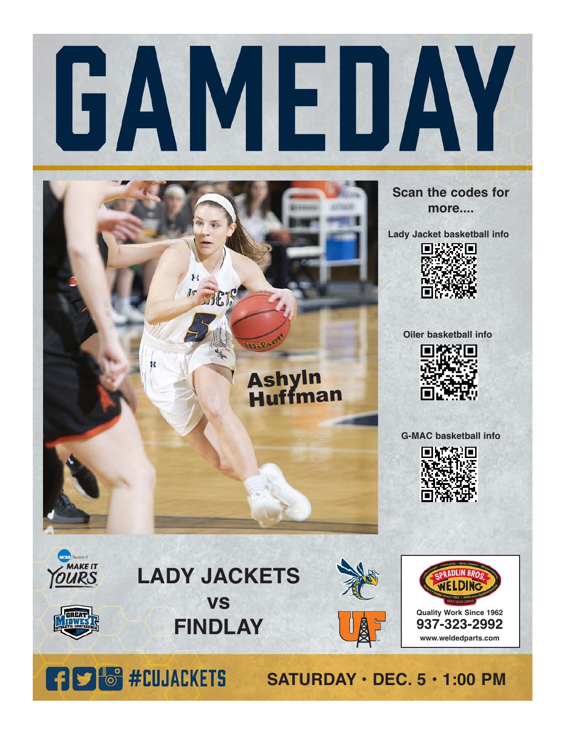



**Scan the codes for more....**

**Lady Jacket basketball info**



**Oiler basketball info**



**G-MAC basketball info**



**Quality Work Since 1962 937-323-2992 www.weldedparts.com**

**SATURDAY • DEC. 5 • 1:00 PM**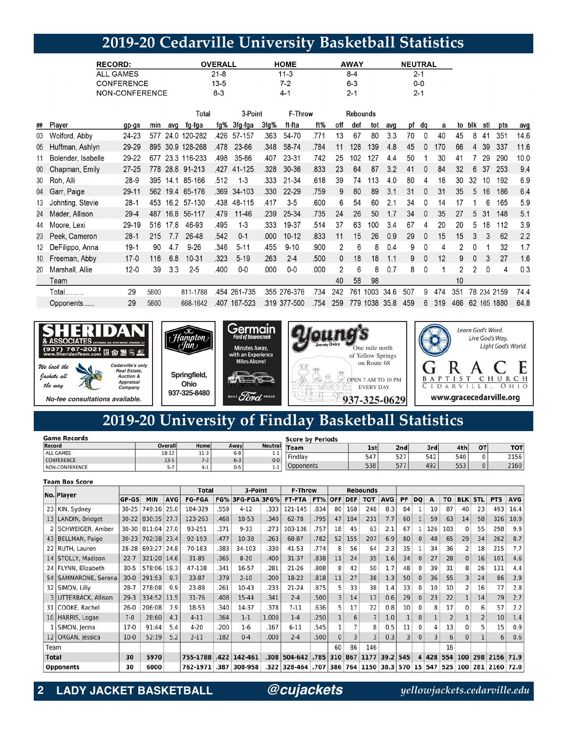# **2019-20 Cedarville University Basketball Statistics**

| <b>RECORD:</b>    | <b>OVERALL</b> | <b>HOME</b> | <b>AWAY</b> | <b>NEUTRAL</b> |
|-------------------|----------------|-------------|-------------|----------------|
| ALL GAMES         | 21-8           | 11-3        | 8-4         | 2-1            |
| <b>CONFERENCE</b> | 13-5           | 7-2         | $6 - 3$     | $0-0$          |
| NON-CONFERENCE    | 8-3            | $4 - 7$     | $2 - 1$     | $2 - 1$        |

|    |                    |           |      |      | Total        |      | 3-Point      |      | F-Throw      |      |     | Rebounds |      |      |     |              |     |     |          |          |             |      |
|----|--------------------|-----------|------|------|--------------|------|--------------|------|--------------|------|-----|----------|------|------|-----|--------------|-----|-----|----------|----------|-------------|------|
| ## | Player             | gp-gs     | min  | avo  | fg-fga       | fg%  | 3fg-fga      | 3fg% | ft-fta       | ft%  | off | def      | tot  | avq  | рf  | da           | a   | to  | blk      | stl      | pts         | avg  |
| 03 | Wolford, Abby      | 24-23     | 577  | 24.0 | 120-282      | .426 | 57-157       | .363 | 54-70        | .771 | 13  | 67       | 80   | 3.3  | 70  | $\Omega$     | 40  | 45  | 8        | 41       | 351         | 14.6 |
| 05 | Huffman, Ashlyn    | 29-29     | 895  | 30.9 | 128-268      | .478 | 23-66        | .348 | 58-74        | .784 | 11  | 128      | 139  | 4.8  | 45  |              | 170 | 66  | 4        | 39       | 337         | 11.6 |
| 11 | Bolender, Isabelle | 29-22     | 677  |      | 23.3 116-233 | .498 | 35-86        | .407 | 23-31        | .742 | 25  | 102      | 127  | 4.4  | 50  |              | 30  | 41  |          | 29       | 290         | 10.0 |
| 00 | Chapman, Emily     | $27 - 25$ | 778  | 28.8 | 91-213       | .427 | 41-125       | .328 | $30 - 36$    | .833 | 23  | 64       | 87   | 3.2  | 41  |              | 84  | 32  | 6        | 37       | 253         | 9.4  |
|    | 30 Roh, Alli       | 28-9      | 395  | 14.1 | 85-166       | .512 | $1 - 3$      | .333 | 21-34        | .618 | 39  | 74       | 113  | 4.0  | 80  | 4            | 18  | 30  | 32       | 10       | 192         | 6.9  |
| 04 | Garr, Paige        | 29-11     | 562  | 19.4 | 65-176       | .369 | 34-103       | .330 | 22-29        | .759 | 9   | 80       | 89   | 3.1  | 31  |              | 31  | 35  | 5        | 16       | 186         | 6.4  |
| 13 | Johnting, Stevie   | $28-1$    | 453  | 16.2 | 57-130       | .438 | 48-115       | .417 | $3-5$        | .600 | 6   | 54       | 60   | 2.1  | 34  | $\Omega$     | 14  |     |          | 6        | 165         | 5.9  |
| 24 | Mader, Allison     | $29 - 4$  | 487  | 16.8 | 56-117       | .479 | $11 - 46$    | .239 | 25-34        | .735 | 24  | 26       | 50   | 1.7  | 34  | $\mathbf{0}$ | 35  | 27  | 5        | 31       | 148         | 5.1  |
| 44 | Moore, Lexi        | 29-19     | 516  | 17.8 | 46-93        | .495 | $1 - 3$      | .333 | 19-37        | .514 | 37  | 63       | 100  | 3.4  | 67  | 4            | 20  | 20  | 5        | 18       | 112         | 3.9  |
| 23 | Peek, Cameron      | $28-1$    | 215  | 7.7  | 26-48        | .542 | $0 - 1$      | .000 | $10 - 12$    | .833 | 11  | 15       | 26   | 0.9  | 29  | $\Omega$     | 15  | 15  |          | 3        | 62          | 2.2  |
| 12 | DeFilippo, Anna    | $19-1$    | 90   | 4.7  | $9 - 26$     | .346 | $5 - 11$     | .455 | $9 - 10$     | .900 | 2   | 6        | 8    | 0.4  | 9   | $\Omega$     | 4   | 2   | 0        |          | 32          | 1.7  |
| 10 | Freeman, Abby      | $17 - 0$  | 116  | 6.8  | 10-31        | .323 | $5 - 19$     | .263 | $2 - 4$      | .500 | 0   | 18       | 18   | 1.1  | 9   | $\mathbf{0}$ | 12  | 9   | $\Omega$ | 3        | 27          | 1.6  |
| 20 | Marshall, Allie    | $12 - 0$  | 39   | 3.3  | $2 - 5$      | .400 | $0-0$        | .000 | $0-0$        | .000 | 2   | 6        | 8    | 0.7  | 8   | 0            |     | 2   |          | $\Omega$ | 4           | 0.3  |
|    | Team               |           |      |      |              |      |              |      |              |      | 40  | 58       | 98   |      |     |              |     | 10  |          |          |             |      |
|    | Total              | 29        | 5800 |      | 811-1788     |      | .454 261-735 |      | .355 276-376 | .734 | 242 | 761      | 1003 | 34.6 | 507 | 9            | 474 | 351 |          |          | 78 234 2159 | 74.4 |
|    | Opponents          | 29        | 5800 |      | 668-1642     | .407 | 167-523      | .319 | 377-500      | 754  | 259 | 779      | 1038 | 35.8 | 459 | 6            | 319 | 466 | 62       |          | 165 1880    | 64.8 |



# **2019-20 University of Findlay Basketball Statistics**

| <b>Game Records</b> |         |         |         | <b>Score by Periods</b> |           |     |     |     |     |          |            |  |  |
|---------------------|---------|---------|---------|-------------------------|-----------|-----|-----|-----|-----|----------|------------|--|--|
| Record              | Overall | Home    | Away    | <b>Neutral</b>          | Team      | 1st | 2nd | 3rd | 4th | OT       | <b>TOT</b> |  |  |
| <b>ALL GAMES</b>    | 18-12   | $11-3$  | $6 - 8$ | 7-7                     |           |     | 527 |     | 540 |          | 2156       |  |  |
| <b>CONFERENCE</b>   | $13-5$  | $7 - 2$ | $6 - 3$ | $0 - 0$                 | Findlay   | 547 |     | 542 |     |          |            |  |  |
| NON-CONFERENCE      |         | $4 - 1$ | $0 - 5$ | 1-1                     | Opponents | 538 | 577 | 492 | 553 | $\Omega$ | 2160       |  |  |

#### **Team Box Score**

|              |                      |           |             |            | <b>Total</b>  |      | 3-Point          |       | <b>F-Throw</b> |      |            |                | <b>Rebounds</b> |            |     |              |     |     |              |                |            |            |
|--------------|----------------------|-----------|-------------|------------|---------------|------|------------------|-------|----------------|------|------------|----------------|-----------------|------------|-----|--------------|-----|-----|--------------|----------------|------------|------------|
|              | No. Player           | GP-GS     | <b>MIN</b>  | <b>AVG</b> | <b>FG-FGA</b> |      | FG% 3FG-FGA 3FG% |       | FT-FTA         | FT%  | <b>OFF</b> | <b>DEF</b>     | <b>TOT</b>      | <b>AVG</b> | PF  | <b>DO</b>    | A   | то  | <b>BLK</b>   | <b>STL</b>     | <b>PTS</b> | <b>AVG</b> |
|              | 23 KIN, Sydney       | $30 - 25$ | 749:16      | 25.0       | 184-329       | .559 | $4 - 12$         | .333  | 121-145        | .834 | 80         | 168            | 248             | 8.3        | 84  |              | 10  | 87  | 40           | 23             | 493        | 16.4       |
|              | 13 LANDIN, Bridget   | $30 - 22$ | 830:35      | 27.7       | 123-263       | .468 | 18-53            | .340  | 62-78          | .795 | 47         | 184            | 231             | 7.7        | 60  |              | 59  | 63  | 14           | 58             | 326        | 10.9       |
|              | 2 SCHWEIGER, Amber   | $30 - 30$ | 811:04      | 27.0       | 93-251        | .371 | $9 - 33$         | .273  | 103-136        | .757 | 18         | 45             | 63              | 2.1        | 67  |              | 126 | 103 | $^{\circ}$   | 55             | 298        | 9.9        |
|              | 43 BELLMAN, Paige    | $30 - 23$ | 702:38 23.4 |            | 92-193        | .477 | 10-38            | .263  | 68-87          | .782 | 52         | 155            | 207             | 6.9        | 80  | $\mathbf{0}$ | 48  | 65  | 29           | 34             | 262        | 8.7        |
|              | 22   RUTH, Lauren    | $28 - 28$ | 693:27 24.8 |            | 70-183        | .383 | 34-103           | .330  | $41 - 53$      | .774 | 8          | 56             | 64              | 2.3        | 35  |              | 34  | 36  | 2            | 18             | 215        | 7.7        |
|              | 14 STOLLY, Madison   | $22 - 7$  | 321:20 14.6 |            | $31 - 85$     | .365 | $8 - 20$         | .400  | $31 - 37$      | .838 | 11         | 24             | 35              | 1.6        | 34  | $\mathbf{0}$ | 27  | 28  | $\mathbf{0}$ | 16             | 101        | 4.6        |
|              | 24 FLYNN, Elizabeth  | $30-5$    | 578:06      | 19.3       | 47-138        | .341 | 16-57            | .281  | $21 - 26$      | .808 | 8          | 42             | 50              | 1.7        | 48  |              | 39  | 31  | 8            | 26             | 131        | 4.4        |
| 54           | SAMMARONE, Serena    | $30-0$    | 291:53      | 9.7        | 33-87         | .379 | $2 - 10$         | .200  | 18-22          | .818 | 11         | 27             | 38              | 1.3        | 50  | $\Omega$     | 36  | 55  |              | 24             | 86         | 2.9        |
|              | 32 SIMON, Lilly      | $28 - 7$  | 278:08      | 9.9        | 23-88         | .261 | $10-43$          | .233  | $21 - 24$      | .875 | 5          | 33             | 38              | 1.4        | 33  | 0            | 10  | 10  |              | 16             | 77         | 2.8        |
|              | 3 UTTERBACK, Allison | $29-3$    | 334:52 11.5 |            | $31 - 76$     | .408 | 15-44            | .341  | $2 - 4$        | .500 | 3          | 14             | 17              | 0.6        | 29  | $\Omega$     | 23  | 22  |              | 14             | 79         | 2.7        |
| 31           | COOKE, Rachel        | $26-0$    | 206:08      | 7.9        | 18-53         | .340 | 14-37            | .378  | $7 - 11$       | .636 | 5          | 17             | 22              | 0.8        | 10  | $\Omega$     | 8   | 17  | 0            | 6              | 57         | 2.2        |
|              | 10 HARRIS, Logan     | $7 - 0$   | 28:60       | 4.1        | $4 - 11$      | .364 | $1 - 1$          | 1.000 | $1 - 4$        | .250 |            | 6              | $\overline{7}$  | 1.0        |     | $\mathbf{0}$ |     |     |              | $\overline{2}$ | 10         | 1.4        |
|              | SIMON, Jenna         | $17-0$    | 91:44       | 5.4        | $4 - 20$      | .200 | $1-6$            | .167  | $6 - 11$       | .545 |            |                | 8               | 0.5        | 11  | 0            |     | 13  | $\Omega$     | 5              | 15         | 0.9        |
|              | 12 ORGAN, Jessica    | $10-0$    | 52:19       | 5.2        | $2 - 11$      | .182 | $0 - 4$          | .000  | $2 - 4$        | .500 | $\Omega$   | $\overline{3}$ | 3               | 0.3        | 3   | $\Omega$     | 3.  | 6   | $\Omega$     |                | 6          | 0.6        |
| Team         |                      |           |             |            |               |      |                  |       |                |      | 60         | 86             | 146             |            |     |              |     | 16  |              |                |            |            |
| <b>Total</b> |                      | 30        | 5970        |            | 755-1788      | .422 | 142-461          | .308  | 504-642        | .785 | 310        | 867            | 1177            | 39.2       | 545 | 4            | 428 | 554 | 100          | 298            | 2156       | 71.9       |
|              | <b>Opponents</b>     | 30        | 6000        |            | 762-1971      | .387 | 308-958          | .322  | 328-464        | .707 | 386        |                | 764 1150        | 38.3 570   |     | 15           | 547 | 525 | 100          | 281            | 2160       | 72.0       |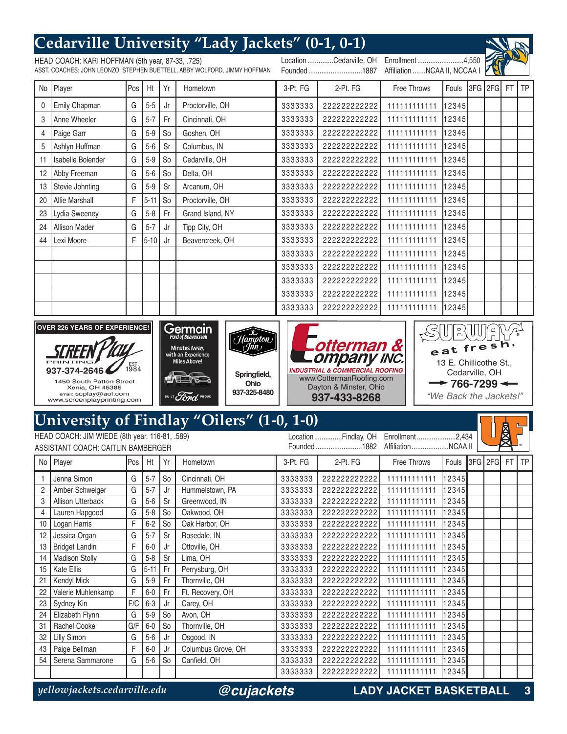#### **Cedarville University "Lady Jackets" (0-1, 0-1)** HEAD COACH: KARI HOFFMAN (5th year, 87-33, .725) Location ..............Cedarville, OH Enrollment .........................4,550 ASST. COACHES: JOHN LEONZO, STEPHEN BUETTELL, ABBY WOLFORD, JIMMY HOFFMAN Affiliation .......NCAA II, NCCAA I Founded .............................1887 No Player Pos Ht Yr Hometown 3-Pt. FG 2-Pt. FG Free Throws Fouls 3FG 2FG FT TP 0 Emily Chapman | G | 5-5 | Jr | Proctorville, OH 3333333 222222222222 111111111111 12345 3 Anne Wheeler G 5-7 Fr Cincinnati, OH 3333333 222222222222 111111111111 12345 4 | Paige Garr | G | 5-9 | So | Goshen, OH 3333333 222222222222 111111111111 12345 5 Ashlyn Huffman G 5-6 Sr Columbus, IN 3333333 222222222222 111111111111 12345 11 Isabelle Bolender | G | 5-9 | So | Cedarville, OH 3333333 222222222222 111111111111 12345 12 Abby Freeman G 5-6 So Delta, OH 3333333 222222222222 111111111111 12345 13 Stevie Johnting G 5-9 Sr Arcanum, OH 3333333 222222222222 111111111111 12345 20 Allie Marshall F 5-11 So Proctorville, OH 3333333 222222222222 111111111111 12345 23 Lydia Sweeney | G | 5-8 | Fr | Grand Island, NY 3333333 222222222222 111111111111 12345 24 Allison Mader G 5-7 Jr Tipp City, OH 3333333 222222222222 111111111111 12345 44 Lexi Moore **F** 5-10 Jr Beavercreek, OH 3333333 222222222222 111111111111 12345 3333333 222222222222 111111111111 12345 3333333 222222222222 111111111111 12345 3333333 222222222222 111111111111 12345 3333333 222222222222 111111111111 12345 3333333 222222222222 111111111111 12345 Germain **OVER 226 YEARS OF EXPERIENCE!** IAY  $\mathbb{P}_{\mathbb{C}}$ UU  $H$ ampton  $e^{at}$  fres otterman &  $\langle \textit{fin} \rangle$ **Minutes Away.** with an Experience ompany inc. **Miles Above!** 13 E. Chillicothe St., 1984 937-374-2646 **INDUSTRIAL & COMMERCIAL ROOFING** Cedarville, OH **Springfield,** www.CottermanRoofing.com 1450 South Patton Street **Ohio**  <sup>→</sup> 766-7299 <del>←</del> Dayton & Minster, Ohio Xenia, OH 45385<br>email: scplay@aol.com **937-325-8480** Ford "We Back the Jackets!" **937-433-8268**www.screenplayprinting.com **University of Findlay "Oilers" (1-0, 1-0)** HEAD COACH: JIM WIEDE (8th year, 116-81, .589) Location...............Findlay, OH Enrollment .....................2,434 ASSISTANT COACH: CAITLIN BAMBERGER Founded .........................1882 Affiliation....................NCAA II

| No I | Player                   | <b>IPos</b> | Ht       | Yr             | Hometown           | 3-Pt. FG | 2-Pt. FG    | <b>Free Throws</b> | Fouls ISFGI 2FGI |  | <b>FT</b> | l TP |
|------|--------------------------|-------------|----------|----------------|--------------------|----------|-------------|--------------------|------------------|--|-----------|------|
|      | Jenna Simon              | G           | $5 - 7$  | So             | Cincinnati, OH     | 3333333  | 22222222222 | 11111111111        | 12345            |  |           |      |
| 2    | Amber Schweiger          | G           | $5 - 7$  | Jr             | Hummelstown, PA    | 3333333  | 22222222222 | 111111111111       | 123451           |  |           |      |
| 3    | <b>Allison Utterback</b> | G           | $5-6$    | Sr             | Greenwood, IN      | 3333333  | 22222222222 | 11111111111        | 123451           |  |           |      |
| 4    | Lauren Hapgood           | G           | $5-8$    | So             | Oakwood, OH        | 3333333  | 22222222222 | 11111111111        | 123451           |  |           |      |
| 10   | Logan Harris             | F           | $6 - 2$  | So             | Oak Harbor, OH     | 3333333  | 22222222222 | 11111111111        | 123451           |  |           |      |
| 12   | Jessica Organ            | G           | $5 - 7$  | Sr             | Rosedale, IN       | 3333333  | 22222222222 | 111111111111       | 123451           |  |           |      |
| 13   | <b>Bridget Landin</b>    | F           | $6-0$    | Jr             | Ottoville, OH      | 3333333  | 22222222222 | 11111111111        | 12345            |  |           |      |
| 14   | <b>Madison Stolly</b>    | G           | $5 - 8$  | Sr             | Lima, OH           | 3333333  | 22222222222 | 11111111111        | 12345            |  |           |      |
| 15   | <b>Kate Ellis</b>        | G           | $5 - 11$ | Fr             | Perrysburg, OH     | 3333333  | 22222222222 | 111111111111       | 123451           |  |           |      |
| 21   | Kendyl Mick              | G           | $5-9$    | Fr             | Thornville, OH     | 3333333  | 22222222222 | 11111111111        | 12345            |  |           |      |
| 22   | Valerie Muhlenkamp       | F           | $6-0$    | Fr             | Ft. Recovery, OH   | 3333333  | 22222222222 | 11111111111        | 12345            |  |           |      |
| 23   | Sydney Kin               | F/C         | $6 - 3$  | Jr             | Carey, OH          | 3333333  | 22222222222 | 111111111111       | 12345            |  |           |      |
| 24   | Elizabeth Flynn          | G           | $5-9$    | S <sub>o</sub> | Avon, OH           | 3333333  | 22222222222 | 111111111111       | 123451           |  |           |      |
| 31   | Rachel Cooke             | G/F         | $6-0$    | S <sub>o</sub> | Thornville, OH     | 3333333  | 22222222222 | 11111111111        | 12345            |  |           |      |
| 32   | Lilly Simon              | G           | $5-6$    | Jr             | Osgood, IN         | 3333333  | 22222222222 | 11111111111        | 12345            |  |           |      |
| 43   | Paige Bellman            | F.          | $6-0$    | Jr             | Columbus Grove, OH | 3333333  | 22222222222 | 11111111111        | 12345            |  |           |      |
| 54   | Serena Sammarone         | G           | $5-6$    | S <sub>o</sub> | Canfield, OH       | 3333333  | 22222222222 | 11111111111        | 123451           |  |           |      |
|      |                          |             |          |                |                    | 3333333  | 22222222222 | 11111111111        | 12345∥           |  |           |      |

*@cujackets*

*yellowjackets.cedarville.edu* **LADY JACKET BASKETBALL 3**